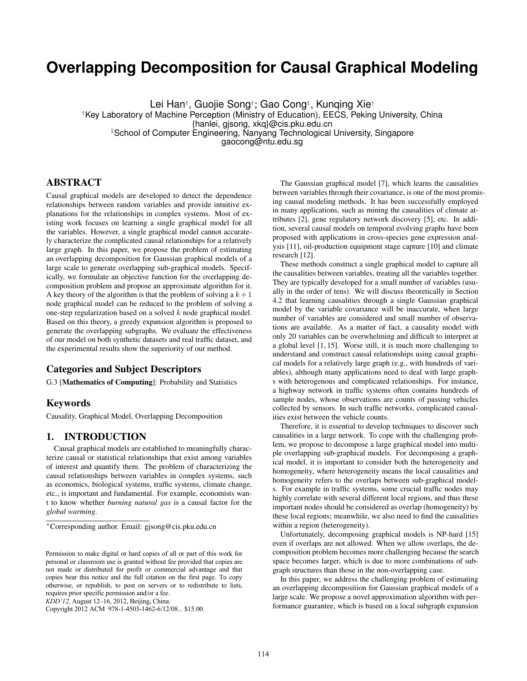# **Overlapping Decomposition for Causal Graphical Modeling**

Lei Han† , Guojie Song†∗, Gao Cong‡ , Kunqing Xie†

†Key Laboratory of Machine Perception (Ministry of Education), EECS, Peking University, China

{hanlei, gjsong, xkq}@cis.pku.edu.cn

‡School of Computer Engineering, Nanyang Technological University, Singapore

gaocong@ntu.edu.sg

# ABSTRACT

Causal graphical models are developed to detect the dependence relationships between random variables and provide intuitive explanations for the relationships in complex systems. Most of existing work focuses on learning a single graphical model for all the variables. However, a single graphical model cannot accurately characterize the complicated causal relationships for a relatively large graph. In this paper, we propose the problem of estimating an overlapping decomposition for Gaussian graphical models of a large scale to generate overlapping sub-graphical models. Specifically, we formulate an objective function for the overlapping decomposition problem and propose an approximate algorithm for it. A key theory of the algorithm is that the problem of solving a  $k+1$ node graphical model can be reduced to the problem of solving a one-step regularization based on a solved  $k$  node graphical model. Based on this theory, a greedy expansion algorithm is proposed to generate the overlapping subgraphs. We evaluate the effectiveness of our model on both synthetic datasets and real traffic dataset, and the experimental results show the superiority of our method.

# Categories and Subject Descriptors

G.3 [Mathematics of Computing]: Probability and Statistics

# Keywords

Causality, Graphical Model, Overlapping Decomposition

# 1. INTRODUCTION

Causal graphical models are established to meaningfully characterize causal or statistical relationships that exist among variables of interest and quantify them. The problem of characterizing the causal relationships between variables in complex systems, such as economics, biological systems, traffic systems, climate change, etc., is important and fundamental. For example, economists want to know whether *burning natural gas* is a causal factor for the *global warming*.

*KDD'12,* August 12–16, 2012, Beijing, China.

Copyright 2012 ACM 978-1-4503-1462-6/12/08... \$15.00.

The Gaussian graphical model [7], which learns the causalities between variables through their covariance, is one of the most promising causal modeling methods. It has been successfully employed in many applications, such as mining the causalities of climate attributes [2], gene regulatory network discovery [5], etc. In addition, several causal models on temporal evolving graphs have been proposed with applications in cross-species gene expression analysis [11], oil-production equipment stage capture [10] and climate research [12].

These methods construct a single graphical model to capture all the causalities between variables, treating all the variables together. They are typically developed for a small number of variables (usually in the order of tens). We will discuss theoretically in Section 4.2 that learning causalities through a single Gaussian graphical model by the variable covariance will be inaccurate, when large number of variables are considered and small number of observations are available. As a matter of fact, a causality model with only 20 variables can be overwhelming and difficult to interpret at a global level [1, 15]. Worse still, it is much more challenging to understand and construct causal relationships using causal graphical models for a relatively large graph (e.g., with hundreds of variables), although many applications need to deal with large graphs with heterogenous and complicated relationships. For instance, a highway network in traffic systems often contains hundreds of sample nodes, whose observations are counts of passing vehicles collected by sensors. In such traffic networks, complicated causalities exist between the vehicle counts.

Therefore, it is essential to develop techniques to discover such causalities in a large network. To cope with the challenging problem, we propose to decompose a large graphical model into multiple overlapping sub-graphical models. For decomposing a graphical model, it is important to consider both the heterogeneity and homogeneity, where heterogeneity means the local causalities and homogeneity refers to the overlaps between sub-graphical models. For example in traffic systems, some crucial traffic nodes may highly correlate with several different local regions, and thus these important nodes should be considered as overlap (homogeneity) by these local regions; meanwhile, we also need to find the causalities within a region (heterogeneity).

Unfortunately, decomposing graphical models is NP-hard [15] even if overlaps are not allowed. When we allow overlaps, the decomposition problem becomes more challenging because the search space becomes larger, which is due to more combinations of subgraph structures than those in the non-overlapping case.

In this paper, we address the challenging problem of estimating an overlapping decomposition for Gaussian graphical models of a large scale. We propose a novel approximation algorithm with performance guarantee, which is based on a local subgraph expansion

<sup>∗</sup>Corresponding author. Email: gjsong@cis.pku.edu.cn

Permission to make digital or hard copies of all or part of this work for personal or classroom use is granted without fee provided that copies are not made or distributed for profit or commercial advantage and that copies bear this notice and the full citation on the first page. To copy otherwise, or republish, to post on servers or to redistribute to lists, requires prior specific permission and/or a fee.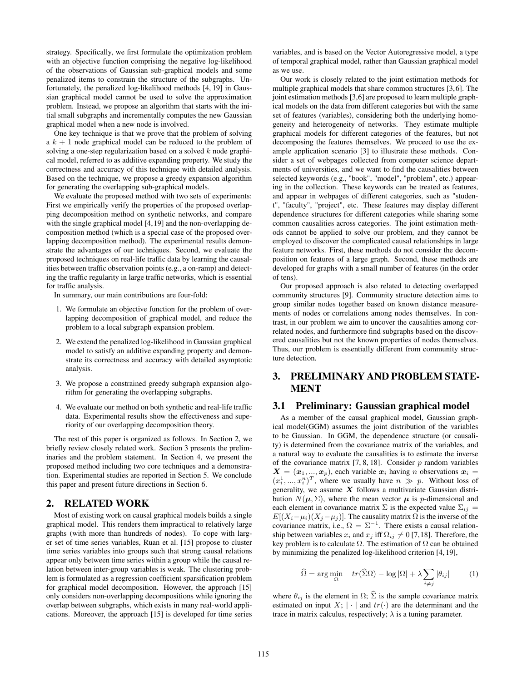strategy. Specifically, we first formulate the optimization problem with an objective function comprising the negative log-likelihood of the observations of Gaussian sub-graphical models and some penalized items to constrain the structure of the subgraphs. Unfortunately, the penalized log-likelihood methods [4, 19] in Gaussian graphical model cannot be used to solve the approximation problem. Instead, we propose an algorithm that starts with the initial small subgraphs and incrementally computes the new Gaussian graphical model when a new node is involved.

One key technique is that we prove that the problem of solving a  $k + 1$  node graphical model can be reduced to the problem of solving a one-step regularization based on a solved  $k$  node graphical model, referred to as additive expanding property. We study the correctness and accuracy of this technique with detailed analysis. Based on the technique, we propose a greedy expansion algorithm for generating the overlapping sub-graphical models.

We evaluate the proposed method with two sets of experiments: First we empirically verify the properties of the proposed overlapping decomposition method on synthetic networks, and compare with the single graphical model [4,19] and the non-overlapping decomposition method (which is a special case of the proposed overlapping decomposition method). The experimental results demonstrate the advantages of our techniques. Second, we evaluate the proposed techniques on real-life traffic data by learning the causalities between traffic observation points (e.g., a on-ramp) and detecting the traffic regularity in large traffic networks, which is essential for traffic analysis.

In summary, our main contributions are four-fold:

- 1. We formulate an objective function for the problem of overlapping decomposition of graphical model, and reduce the problem to a local subgraph expansion problem.
- 2. We extend the penalized log-likelihood in Gaussian graphical model to satisfy an additive expanding property and demonstrate its correctness and accuracy with detailed asymptotic analysis.
- 3. We propose a constrained greedy subgraph expansion algorithm for generating the overlapping subgraphs.
- 4. We evaluate our method on both synthetic and real-life traffic data. Experimental results show the effectiveness and superiority of our overlapping decomposition theory.

The rest of this paper is organized as follows. In Section 2, we briefly review closely related work. Section 3 presents the preliminaries and the problem statement. In Section 4, we present the proposed method including two core techniques and a demonstration. Experimental studies are reported in Section 5. We conclude this paper and present future directions in Section 6.

### 2. RELATED WORK

Most of existing work on causal graphical models builds a single graphical model. This renders them impractical to relatively large graphs (with more than hundreds of nodes). To cope with larger set of time series variables, Ruan et al. [15] propose to cluster time series variables into groups such that strong causal relations appear only between time series within a group while the causal relation between inter-group variables is weak. The clustering problem is formulated as a regression coefficient sparsification problem for graphical model decomposition. However, the approach [15] only considers non-overlapping decompositions while ignoring the overlap between subgraphs, which exists in many real-world applications. Moreover, the approach [15] is developed for time series variables, and is based on the Vector Autoregressive model, a type of temporal graphical model, rather than Gaussian graphical model as we use.

Our work is closely related to the joint estimation methods for multiple graphical models that share common structures [3,6]. The joint estimation methods [3,6] are proposed to learn multiple graphical models on the data from different categories but with the same set of features (variables), considering both the underlying homogeneity and heterogeneity of networks. They estimate multiple graphical models for different categories of the features, but not decomposing the features themselves. We proceed to use the example application scenario [3] to illustrate these methods. Consider a set of webpages collected from computer science departments of universities, and we want to find the causalities between selected keywords (e.g., "book", "model", "problem", etc.) appearing in the collection. These keywords can be treated as features, and appear in webpages of different categories, such as "student", "faculty", "project", etc. These features may display different dependence structures for different categories while sharing some common causalities across categories. The joint estimation methods cannot be applied to solve our problem, and they cannot be employed to discover the complicated causal relationships in large feature networks. First, these methods do not consider the decomposition on features of a large graph. Second, these methods are developed for graphs with a small number of features (in the order of tens).

Our proposed approach is also related to detecting overlapped community structures [9]. Community structure detection aims to group similar nodes together based on known distance measurements of nodes or correlations among nodes themselves. In contrast, in our problem we aim to uncover the causalities among correlated nodes, and furthermore find subgraphs based on the discovered causalities but not the known properties of nodes themselves. Thus, our problem is essentially different from community structure detection.

# 3. PRELIMINARY AND PROBLEM STATE-MENT

### 3.1 Preliminary: Gaussian graphical model

As a member of the causal graphical model, Gaussian graphical model(GGM) assumes the joint distribution of the variables to be Gaussian. In GGM, the dependence structure (or causality) is determined from the covariance matrix of the variables, and a natural way to evaluate the causalities is to estimate the inverse of the covariance matrix  $[7, 8, 18]$ . Consider  $p$  random variables  $X = (x_1, ..., x_p)$ , each variable  $x_i$  having n observations  $x_i =$  $(x_i^1, ..., x_i^n)^T$ , where we usually have  $n \gg p$ . Without loss of generality, we assume  $X$  follows a multivariate Gaussian distribution  $N(\mu, \Sigma)$ , where the mean vector  $\mu$  is p-dimensional and each element in covariance matrix  $\Sigma$  is the expected value  $\Sigma_{ij}$  =  $E[(X_i-\mu_i)(X_j-\mu_j)]$ . The causality matrix  $\Omega$  is the inverse of the covariance matrix, i.e.,  $\Omega = \Sigma^{-1}$ . There exists a causal relationship between variables  $x_i$  and  $x_j$  iff  $\Omega_{ij} \neq 0$  [7,18]. Therefore, the key problem is to calculate  $\Omega$ . The estimation of  $\Omega$  can be obtained by minimizing the penalized log-likelihood criterion [4, 19],

$$
\widehat{\Omega} = \arg \min_{\Omega} \quad tr(\widehat{\Sigma}\Omega) - \log |\Omega| + \lambda \sum_{i \neq j} |\theta_{ij}| \tag{1}
$$

where  $\theta_{ij}$  is the element in  $\Omega$ ;  $\hat{\Sigma}$  is the sample covariance matrix estimated on input  $X$ ;  $|\cdot|$  and  $tr(\cdot)$  are the determinant and the trace in matrix calculus, respectively;  $\lambda$  is a tuning parameter.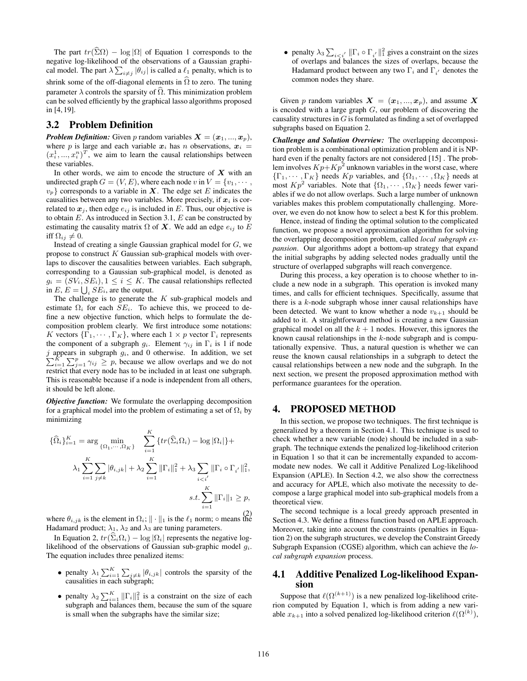The part  $tr(\widehat{\Sigma}\Omega) - \log |\Omega|$  of Equation 1 corresponds to the negative log-likelihood of the observations of a Gaussian graphical model. The part  $\lambda \sum_{i \neq j} |\theta_{ij}|$  is called a  $\ell_1$  penalty, which is to shrink some of the off-diagonal elements in  $\widehat{\Omega}$  to zero. The tuning parameter  $\lambda$  controls the sparsity of  $\Omega$ . This minimization problem can be solved efficiently by the graphical lasso algorithms proposed in [4, 19].

### 3.2 Problem Definition

**Problem Definition:** Given p random variables  $X = (x_1, ..., x_p)$ , where p is large and each variable  $x_i$  has n observations,  $x_i$  =  $(x_i^1, ..., x_i^n)^T$ , we aim to learn the causal relationships between these variables.

In other words, we aim to encode the structure of  $X$  with an undirected graph  $G = (V, E)$ , where each node v in  $V = \{v_1, \dots, v_n\}$  $v_p$ } corresponds to a variable in X. The edge set E indicates the causalities between any two variables. More precisely, if  $x_i$  is correlated to  $x_j$ , then edge  $e_{ij}$  is included in E. Thus, our objective is to obtain  $E$ . As introduced in Section 3.1,  $E$  can be constructed by estimating the causality matrix  $\Omega$  of  $X$ . We add an edge  $e_{ij}$  to  $E$ iff  $\Omega_{ij} \neq 0$ .

Instead of creating a single Gaussian graphical model for  $G$ , we propose to construct  $K$  Gaussian sub-graphical models with overlaps to discover the causalities between variables. Each subgraph, corresponding to a Gaussian sub-graphical model, is denoted as  $g_i = (SV_i, SE_i), 1 \leq i \leq K$ . The causal relationships reflected in  $E, E = \bigcup_i SE_i$ , are the output.

The challenge is to generate the  $K$  sub-graphical models and estimate  $\Omega_i$  for each  $SE_i$ . To achieve this, we proceed to define a new objective function, which helps to formulate the decomposition problem clearly. We first introduce some notations: K vectors  $\{\Gamma_1, \cdots, \Gamma_K\}$ , where each  $1 \times p$  vector  $\Gamma_i$  represents the component of a subgraph  $g_i$ . Element  $\gamma_{ij}$  in  $\Gamma_i$  is 1 if node  $\sum_{i=1}^{K} \sum_{j=1}^{p} \gamma_{ij} \geq p$ , because we allow overlaps and we do not  $j$  appears in subgraph  $g_i$ , and 0 otherwise. In addition, we set restrict that every node has to be included in at least one subgraph. This is reasonable because if a node is independent from all others, it should be left alone.

*Objective function:* We formulate the overlapping decomposition for a graphical model into the problem of estimating a set of  $\Omega_i$  by minimizing

$$
\{\widehat{\Omega}_{i}\}_{i=1}^{K} = \arg\min_{\{\Omega_{1},\dots,\Omega_{K}\}} \sum_{i=1}^{K} \{tr(\widehat{\Sigma}_{i}\Omega_{i}) - \log|\Omega_{i}|\} + \lambda_{1} \sum_{i=1}^{K} \sum_{j\neq k} |\theta_{i,jk}| + \lambda_{2} \sum_{i=1}^{K} \|\Gamma_{i}\|_{1}^{2} + \lambda_{3} \sum_{i  

$$
s.t. \sum_{i=1}^{K} \|\Gamma_{i}\|_{1} \geq p,
$$
$$

where  $\theta_{i,jk}$  is the element in  $\Omega_i$ ;  $\|\cdot\|_1$  is the  $\ell_1$  norm;  $\circ$  means the Hadamard product;  $\lambda_1$ ,  $\lambda_2$  and  $\lambda_3$  are tuning parameters.

In Equation 2,  $tr(\hat{\Sigma}_i \Omega_i) - \log |\Omega_i|$  represents the negative loglikelihood of the observations of Gaussian sub-graphic model  $q_i$ . The equation includes three penalized items:

- penalty  $\lambda_1 \sum_{i=1}^K \sum_{j \neq k} |\theta_{i,j,k}|$  controls the sparsity of the causalities in each subgraph;
- penalty  $\lambda_2 \sum_{i=1}^K ||\Gamma_i||_1^2$  is a constraint on the size of each subgraph and balances them, because the sum of the square is small when the subgraphs have the similar size;

• penalty  $\lambda_3 \sum_{i \leq i'} ||\Gamma_i \circ \Gamma_{i'}||_1^2$  gives a constraint on the sizes of overlaps and balances the sizes of overlaps, because the Hadamard product between any two  $\Gamma_i$  and  $\Gamma_{i'}$  denotes the common nodes they share.

Given p random variables  $X = (x_1, ..., x_p)$ , and assume X is encoded with a large graph  $G$ , our problem of discovering the causality structures in  $G$  is formulated as finding a set of overlapped subgraphs based on Equation 2.

*Challenge and Solution Overview:* The overlapping decomposition problem is a combinational optimization problem and it is NPhard even if the penalty factors are not considered [15] . The problem involves  $Kp+Kp^2$  unknown variables in the worst case, where  $\{\Gamma_1, \cdots, \Gamma_K\}$  needs  $Kp$  variables, and  $\{\Omega_1, \cdots, \Omega_K\}$  needs at most  $Kp^2$  variables. Note that  $\{\Omega_1, \cdots, \Omega_K\}$  needs fewer variables if we do not allow overlaps. Such a large number of unknown variables makes this problem computationally challenging. Moreover, we even do not know how to select a best K for this problem.

Hence, instead of finding the optimal solution to the complicated function, we propose a novel approximation algorithm for solving the overlapping decomposition problem, called *local subgraph expansion*. Our algorithms adopt a bottom-up strategy that expand the initial subgraphs by adding selected nodes gradually until the structure of overlapped subgraphs will reach convergence.

During this process, a key operation is to choose whether to include a new node in a subgraph. This operation is invoked many times, and calls for efficient techniques. Specifically, assume that there is a  $k$ -node subgraph whose inner causal relationships have been detected. We want to know whether a node  $v_{k+1}$  should be added to it. A straightforward method is creating a new Gaussian graphical model on all the  $k + 1$  nodes. However, this ignores the known causal relationships in the  $k$ -node subgraph and is computationally expensive. Thus, a natural question is whether we can reuse the known causal relationships in a subgraph to detect the causal relationships between a new node and the subgraph. In the next section, we present the proposed approximation method with performance guarantees for the operation.

# 4. PROPOSED METHOD

In this section, we propose two techniques. The first technique is generalized by a theorem in Section 4.1. This technique is used to check whether a new variable (node) should be included in a subgraph. The technique extends the penalized log-likelihood criterion in Equation 1 so that it can be incrementally expanded to accommodate new nodes. We call it Additive Penalized Log-likelihood Expansion (APLE). In Section 4.2, we also show the correctness and accuracy for APLE, which also motivate the necessity to decompose a large graphical model into sub-graphical models from a theoretical view.

The second technique is a local greedy approach presented in Section 4.3. We define a fitness function based on APLE approach. Moreover, taking into account the constraints (penalties in Equation 2) on the subgraph structures, we develop the Constraint Greedy Subgraph Expansion (CGSE) algorithm, which can achieve the *local subgraph expansion* process.

# 4.1 Additive Penalized Log-likelihood Expansion

Suppose that  $\ell(\Omega^{(k+1)})$  is a new penalized log-likelihood criterion computed by Equation 1, which is from adding a new variable  $x_{k+1}$  into a solved penalized log-likelihood criterion  $\ell(\Omega^{(k)}),$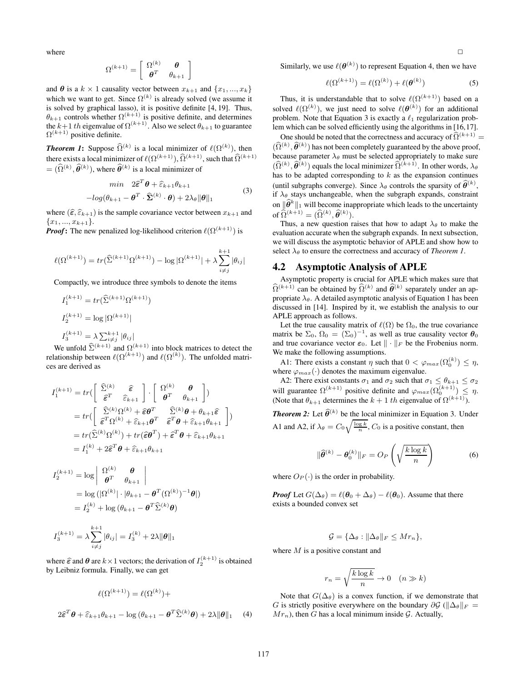where

$$
\boldsymbol{\Omega}^{(k+1)} = \left[ \begin{array}{cc} \boldsymbol{\Omega}^{(k)} & \pmb{\theta} \\ \pmb{\theta}^T & \theta_{k+1} \end{array} \right]
$$

and  $\theta$  is a  $k \times 1$  causality vector between  $x_{k+1}$  and  $\{x_1, ..., x_k\}$ which we want to get. Since  $\Omega^{(k)}$  is already solved (we assume it is solved by graphical lasso), it is positive definite [4, 19]. Thus,  $\theta_{k+1}$  controls whether  $\Omega^{(k+1)}$  is positive definite, and determines the  $k+1$  th eigenvalue of  $\Omega^{(k+1)}$ . Also we select  $\theta_{k+1}$  to guarantee  $\Omega^{(k+1)}$  positive definite.

**Theorem 1:** Suppose  $\widehat{\Omega}^{(k)}$  is a local minimizer of  $\ell(\Omega^{(k)})$ , then there exists a local minimizer of  $\ell(\Omega^{(k+1)}), \widehat{\Omega}^{(k+1)},$  such that  $\widehat{\Omega}^{(k+1)}$  $= (\widehat{\Omega}^{(k)}, \widehat{\theta}^{(k)})$ , where  $\widehat{\theta}^{(k)}$  is a local minimizer of

$$
\min \quad 2\hat{\boldsymbol{\varepsilon}}^T \boldsymbol{\theta} + \hat{\boldsymbol{\varepsilon}}_{k+1} \boldsymbol{\theta}_{k+1} -log(\boldsymbol{\theta}_{k+1} - \boldsymbol{\theta}^T \cdot \hat{\boldsymbol{\Sigma}}^{(k)} \cdot \boldsymbol{\theta}) + 2\lambda_{\theta} ||\boldsymbol{\theta}||_1
$$
\n(3)

where  $(\widehat{\epsilon}, \widehat{\epsilon}_{k+1})$  is the sample covariance vector between  $x_{k+1}$  and  ${x_1, ..., x_{k+1}}.$ 

*Proof*: The new penalized log-likelihood criterion  $\ell(\Omega^{(k+1)})$  is

$$
\ell(\Omega^{(k+1)}) = tr(\widehat{\Sigma}^{(k+1)}\Omega^{(k+1)}) - \log |\Omega^{(k+1)}| + \lambda \sum_{i \neq j}^{k+1} |\theta_{ij}|
$$

Compactly, we introduce three symbols to denote the items

$$
I_1^{(k+1)} = tr(\hat{\Sigma}^{(k+1)} \Omega^{(k+1)})
$$
  
\n
$$
I_2^{(k+1)} = \log |\Omega^{(k+1)}|
$$
  
\n
$$
I_3^{(k+1)} = \lambda \sum_{j \neq j}^{k+1} |\theta_{ij}|
$$

We unfold  $\hat{\Sigma}^{(k+1)}$  and  $\Omega^{(k+1)}$  into block matrices to detect the relationship between  $\ell(\Omega^{(k+1)})$  and  $\ell(\Omega^{(k)})$ . The unfolded matrices are derived as

$$
I_1^{(k+1)} = tr\left(\begin{bmatrix} \hat{\Sigma}^{(k)} & \hat{\epsilon} \\ \hat{\epsilon}^T & \hat{\epsilon}_{k+1} \end{bmatrix} \cdot \begin{bmatrix} \Omega^{(k)} & \theta \\ \theta^T & \theta_{k+1} \end{bmatrix}\right)
$$
  
\n
$$
= tr\left(\begin{bmatrix} \hat{\Sigma}^{(k)}\Omega^{(k)} + \hat{\epsilon}\theta^T & \hat{\Sigma}^{(k)}\theta + \theta_{k+1}\hat{\epsilon} \\ \hat{\epsilon}^T\Omega^{(k)} + \hat{\epsilon}_{k+1}\theta^T & \hat{\epsilon}^T\theta + \hat{\epsilon}_{k+1}\theta_{k+1} \end{bmatrix}\right)
$$
  
\n
$$
= tr(\hat{\Sigma}^{(k)}\Omega^{(k)}) + tr(\hat{\epsilon}\theta^T) + \hat{\epsilon}^T\theta + \hat{\epsilon}_{k+1}\theta_{k+1}
$$
  
\n
$$
= I_1^{(k)} + 2\hat{\epsilon}^T\theta + \hat{\epsilon}_{k+1}\theta_{k+1}
$$

$$
I_2^{(k+1)} = \log \begin{vmatrix} \Omega^{(k)} & \theta \\ \theta^T & \theta_{k+1} \end{vmatrix}
$$
  
=  $\log (|\Omega^{(k)}| \cdot |\theta_{k+1} - \theta^T (\Omega^{(k)})^{-1} \theta|)$   
=  $I_2^{(k)} + \log (\theta_{k+1} - \theta^T \widehat{\Sigma}^{(k)} \theta)$ 

$$
I_3^{(k+1)} = \lambda \sum_{i \neq j}^{k+1} |\theta_{ij}| = I_3^{(k)} + 2\lambda ||\theta||_1
$$

where  $\hat{\epsilon}$  and  $\theta$  are  $k \times 1$  vectors; the derivation of  $I_2^{(k+1)}$  is obtained by Leibniz formula. Finally, we can get

$$
\ell(\Omega^{(k+1)}) = \ell(\Omega^{(k)}) +
$$
  

$$
2\hat{\epsilon}^T \boldsymbol{\theta} + \hat{\epsilon}_{k+1} \theta_{k+1} - \log (\theta_{k+1} - \boldsymbol{\theta}^T \hat{\Sigma}^{(k)} \boldsymbol{\theta}) + 2\lambda \|\boldsymbol{\theta}\|_1
$$
 (4)

Similarly, we use  $\ell(\boldsymbol{\theta}^{(k)})$  to represent Equation 4, then we have

$$
\ell(\Omega^{(k+1)}) = \ell(\Omega^{(k)}) + \ell(\boldsymbol{\theta}^{(k)})
$$
\n(5)

Thus, it is understandable that to solve  $\ell(\Omega^{(k+1)})$  based on a solved  $\ell(\Omega^{(k)})$ , we just need to solve  $\ell(\boldsymbol{\theta}^{(k)})$  for an additional problem. Note that Equation 3 is exactly a  $\ell_1$  regularization problem which can be solved efficiently using the algorithms in [16,17].

One should be noted that the correctness and accuracy of  $\widehat{\Omega}^{(k+1)}$  =  $(\hat{\Omega}^{(k)}, \hat{\theta}^{(k)})$  has not been completely guaranteed by the above proof, because parameter  $\lambda_{\theta}$  must be selected appropriately to make sure  $(\hat{\Omega}^{(k)}, \hat{\theta}^{(k)})$  equals the local minimizer  $\hat{\Omega}^{(k+1)}$ . In other words,  $\lambda_{\theta}$ has to be adapted corresponding to  $k$  as the expansion continues (until subgraphs converge). Since  $\lambda_{\theta}$  controls the sparsity of  $\widehat{\theta}^{(k)}$ , if  $\lambda_{\theta}$  stays unchangeable, when the subgraph expands, constraint on  $\|\widehat{\theta}^k\|_1$  will become inappropriate which leads to the uncertainty of  $\widehat{\Omega}^{(k+1)} = (\widehat{\Omega}^{(k)}, \widehat{\theta}^{(k)}).$ 

Thus, a new question raises that how to adapt  $\lambda_{\theta}$  to make the evaluation accurate when the subgraph expands. In next subsection, we will discuss the asymptotic behavior of APLE and show how to select  $\lambda_{\theta}$  to ensure the correctness and accuracy of *Theorem 1*.

### 4.2 Asymptotic Analysis of APLE

Asymptotic property is crucial for APLE which makes sure that  $\widehat{\Omega}^{(k+1)}$  can be obtained by  $\widehat{\Omega}^{(k)}$  and  $\widehat{\theta}^{(k)}$  separately under an appropriate  $\lambda_{\theta}$ . A detailed asymptotic analysis of Equation 1 has been discussed in [14]. Inspired by it, we establish the analysis to our APLE approach as follows.

Let the true causality matrix of  $\ell(\Omega)$  be  $\Omega_0$ , the true covariance matrix be  $\Sigma_0$ ,  $\Omega_0 = (\Sigma_0)^{-1}$ , as well as true causality vector  $\theta_0$ and true covariance vector  $\varepsilon_0$ . Let  $\|\cdot\|_F$  be the Frobenius norm. We make the following assumptions.

A1: There exists a constant  $\eta$  such that  $0 < \varphi_{max}(\Omega_0^{(k)}) \leq \eta$ , where  $\varphi_{max}(\cdot)$  denotes the maximum eigenvalue.

A2: There exist constants  $\sigma_1$  and  $\sigma_2$  such that  $\sigma_1 \leq \theta_{k+1} \leq \sigma_2$ will guarantee  $\Omega^{(k+1)}$  positive definite and  $\varphi_{max}(\Omega_0^{(k+1)}) \leq \eta$ . (Note that  $\theta_{k+1}$  determines the  $k+1$  th eigenvalue of  $\Omega^{(k+1)}$ ).

**Theorem 2:** Let  $\widehat{\theta}^{(k)}$  be the local minimizer in Equation 3. Under A1 and A2, if  $\lambda_{\theta} = C_0 \sqrt{\frac{\log k}{n}}$ ,  $C_0$  is a positive constant, then

$$
\|\widehat{\boldsymbol{\theta}}^{(k)} - \boldsymbol{\theta}_0^{(k)}\|_F = O_P\left(\sqrt{\frac{k \log k}{n}}\right) \tag{6}
$$

where  $O_P(\cdot)$  is the order in probability.

*Proof* Let  $G(\Delta_{\theta}) = \ell(\theta_0 + \Delta_{\theta}) - \ell(\theta_0)$ . Assume that there exists a bounded convex set

$$
\mathcal{G} = \{ \Delta_{\theta} : ||\Delta_{\theta}||_F \le Mr_n \},\
$$

where  $M$  is a positive constant and

$$
r_n = \sqrt{\frac{k \log k}{n}} \to 0 \quad (n \gg k)
$$

Note that  $G(\Delta_{\theta})$  is a convex function, if we demonstrate that G is strictly positive everywhere on the boundary  $\partial \mathcal{G}$  ( $\|\Delta_{\theta}\|_{F} =$  $Mr_n$ ), then G has a local minimum inside G. Actually,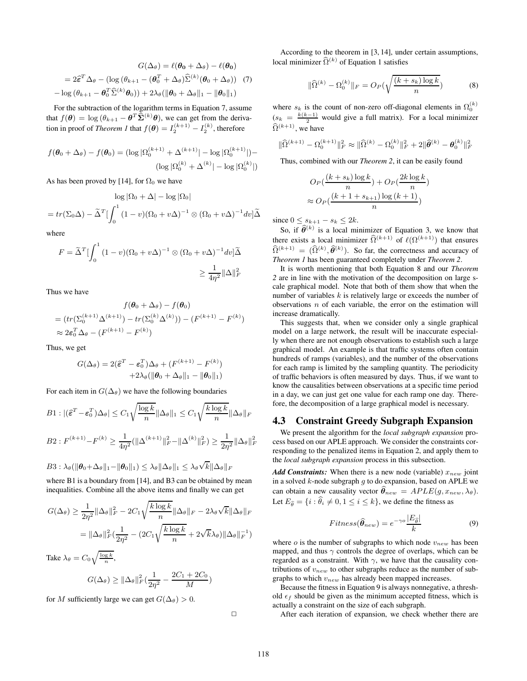$$
G(\Delta_{\theta}) = \ell(\boldsymbol{\theta}_{0} + \Delta_{\theta}) - \ell(\boldsymbol{\theta}_{0})
$$
  
=  $2\hat{\epsilon}^{T}\Delta_{\theta} - (\log(\theta_{k+1} - (\boldsymbol{\theta}_{0}^{T} + \Delta_{\theta})\hat{\Sigma}^{(k)}(\boldsymbol{\theta}_{0} + \Delta_{\theta}))$  (7)  
-  $\log(\theta_{k+1} - \boldsymbol{\theta}_{0}^{T}\hat{\Sigma}^{(k)}\boldsymbol{\theta}_{0})) + 2\lambda_{\theta}(\|\boldsymbol{\theta}_{0} + \Delta_{\theta}\|_{1} - \|\boldsymbol{\theta}_{0}\|_{1})$ 

For the subtraction of the logarithm terms in Equation 7, assume that  $f(\theta) = \log (\theta_{k+1} - \theta^T \widehat{\Sigma}^{(k)} \theta)$ , we can get from the derivation in proof of *Theorem 1* that  $f(\theta) = I_2^{(k+1)} - I_2^{(k)}$ , therefore

$$
f(\boldsymbol{\theta}_0 + \Delta_{\theta}) - f(\boldsymbol{\theta}_0) = (\log |\Omega_0^{(k+1)}| + \Delta^{(k+1)}| - \log |\Omega_0^{(k+1)}|) - (\log |\Omega_0^{(k)}| + \Delta^{(k)}| - \log |\Omega_0^{(k)}|)
$$

As has been proved by [14], for  $\Omega_0$  we have

$$
\log |\Omega_0 + \Delta| - \log |\Omega_0|
$$
  
=  $tr(\Sigma_0 \Delta) - \tilde{\Delta}^T \left[ \int_0^1 (1 - v)(\Omega_0 + v\Delta)^{-1} \otimes (\Omega_0 + v\Delta)^{-1} dv \right] \tilde{\Delta}$ 

where

$$
F = \tilde{\Delta}^T \left[ \int_0^1 (1 - v)(\Omega_0 + v\Delta)^{-1} \otimes (\Omega_0 + v\Delta)^{-1} dv \right] \tilde{\Delta}
$$
  
\$\geq \frac{1}{4\eta^2} ||\Delta||\_F^2\$

Thus we have

$$
f(\theta_0 + \Delta_{\theta}) - f(\theta_0)
$$
  
=  $(tr(\Sigma_0^{(k+1)}\Delta^{(k+1)}) - tr(\Sigma_0^{(k)}\Delta^{(k)})) - (F^{(k+1)} - F^{(k)})$   
 $\approx 2\varepsilon_0^T\Delta_{\theta} - (F^{(k+1)} - F^{(k)})$ 

Thus, we get

$$
G(\Delta_{\theta}) = 2(\tilde{\varepsilon}^T - \varepsilon_0^T)\Delta_{\theta} + (F^{(k+1)} - F^{(k)})
$$

$$
+2\lambda_{\theta}(\|\boldsymbol{\theta}_0 + \Delta_{\theta}\|_1 - \|\boldsymbol{\theta}_0\|_1)
$$

For each item in  $G(\Delta_{\theta})$  we have the following boundaries

$$
B1: |(\widehat{\boldsymbol{\varepsilon}}^T - \boldsymbol{\varepsilon}_0^T) \Delta_{\theta}| \le C_1 \sqrt{\frac{\log k}{n}} ||\Delta_{\theta}||_1 \le C_1 \sqrt{\frac{k \log k}{n}} ||\Delta_{\theta}||_F
$$

$$
B2: F^{(k+1)} - F^{(k)} \ge \frac{1}{4\eta^2} (\|\Delta^{(k+1)}\|_F^2 - \|\Delta^{(k)}\|_F^2) \ge \frac{1}{2\eta^2} \|\Delta_{\theta}\|_F^2
$$

$$
B3:\lambda_{\theta}(\|\boldsymbol{\theta}_0+\Delta_{\theta}\|_1-\|\boldsymbol{\theta}_0\|_1)\leq \lambda_{\theta}\|\Delta_{\theta}\|_1\leq \lambda_{\theta}\sqrt{k}\|\Delta_{\theta}\|_F
$$

where B1 is a boundary from [14], and B3 can be obtained by mean inequalities. Combine all the above items and finally we can get

$$
G(\Delta_{\theta}) \ge \frac{1}{2\eta^2} ||\Delta_{\theta}||_F^2 - 2C_1 \sqrt{\frac{k \log k}{n}} ||\Delta_{\theta}||_F - 2\lambda_{\theta} \sqrt{k} ||\Delta_{\theta}||_F
$$

$$
= ||\Delta_{\theta}||_F^2 \left(\frac{1}{2\eta^2} - \left(2C_1 \sqrt{\frac{k \log k}{n}} + 2\sqrt{k} \lambda_{\theta}\right) ||\Delta_{\theta}||_F^{-1}\right)
$$

Take  $\lambda_{\theta} = C_0 \sqrt{\frac{\log k}{n}}$ ,

$$
G(\Delta_{\theta}) \geq ||\Delta_{\theta}||_F^2(\frac{1}{2\eta^2} - \frac{2C_1 + 2C_0}{M})
$$

for M sufficiently large we can get  $G(\Delta_{\theta}) > 0$ .

 $\Box$ 

According to the theorem in [3, 14], under certain assumptions, local minimizer  $\hat{\Omega}^{(k)}$  of Equation 1 satisfies

$$
\|\widehat{\Omega}^{(k)} - \Omega_0^{(k)}\|_F = O_P(\sqrt{\frac{(k+s_k)\log k}{n}})
$$
 (8)

where  $s_k$  is the count of non-zero off-diagonal elements in  $\Omega_0^{(k)}$  $(s_k = \frac{k(k-1)}{2}$  would give a full matrix). For a local minimizer  $\widehat{\Omega}^{(k+1)}$ , we have

$$
\|\widehat{\Omega}^{(k+1)} - \Omega_0^{(k+1)}\|_F^2 \approx \|\widehat{\Omega}^{(k)} - \Omega_0^{(k)}\|_F^2 + 2\|\widehat{\theta}^{(k)} - \theta_0^{(k)}\|_F^2
$$

Thus, combined with our *Theorem 2*, it can be easily found

$$
O_P\left(\frac{(k+s_k)\log k}{n}\right) + O_P\left(\frac{2k\log k}{n}\right)
$$

$$
\approx O_P\left(\frac{(k+1+s_{k+1})\log (k+1)}{n}\right)
$$

since  $0 \leq s_{k+1} - s_k \leq 2k$ .

So, if  $\widehat{\theta}^{(k)}$  is a local minimizer of Equation 3, we know that there exists a local minimizer  $\widehat{\Omega}^{(k+1)}$  of  $\ell(\Omega^{(k+1)})$  that ensures  $\widehat{\Omega}^{(k+1)} = (\widehat{\Omega}^{(k)}, \widehat{\theta}^{(k)})$ . So far, the correctness and accuracy of *Theorem 1* has been guaranteed completely under *Theorem 2*.

It is worth mentioning that both Equation 8 and our *Theorem 2* are in line with the motivation of the decomposition on large scale graphical model. Note that both of them show that when the number of variables  $k$  is relatively large or exceeds the number of observations  $n$  of each variable, the error on the estimation will increase dramatically.

This suggests that, when we consider only a single graphical model on a large network, the result will be inaccurate especially when there are not enough observations to establish such a large graphical model. An example is that traffic systems often contain hundreds of ramps (variables), and the number of the observations for each ramp is limited by the sampling quantity. The periodicity of traffic behaviors is often measured by days. Thus, if we want to know the causalities between observations at a specific time period in a day, we can just get one value for each ramp one day. Therefore, the decomposition of a large graphical model is necessary.

### 4.3 Constraint Greedy Subgraph Expansion

We present the algorithm for the *local subgraph expansion* process based on our APLE approach. We consider the constraints corresponding to the penalized items in Equation 2, and apply them to the *local subgraph expansion* process in this subsection.

*Add Constraints:* When there is a new node (variable)  $x_{new}$  joint in a solved  $k$ -node subgraph  $g$  to do expansion, based on APLE we can obtain a new causality vector  $\hat{\theta}_{new} = APLE(g, x_{new}, \lambda_{\theta}).$ Let  $E_{\hat{\theta}} = \{i : \hat{\theta}_i \neq 0, 1 \leq i \leq k\}$ , we define the fitness as

$$
Fitness(\hat{\theta}_{new}) = e^{-\gamma o} \frac{|E_{\hat{\theta}}|}{k}
$$
 (9)

where  $\sigma$  is the number of subgraphs to which node  $v_{new}$  has been mapped, and thus  $\gamma$  controls the degree of overlaps, which can be regarded as a constraint. With  $\gamma$ , we have that the causality contributions of  $v_{new}$  to other subgraphs reduce as the number of subgraphs to which  $v_{new}$  has already been mapped increases.

Because the fitness in Equation 9 is always nonnegative, a threshold  $\epsilon_f$  should be given as the minimum accepted fitness, which is actually a constraint on the size of each subgraph.

After each iteration of expansion, we check whether there are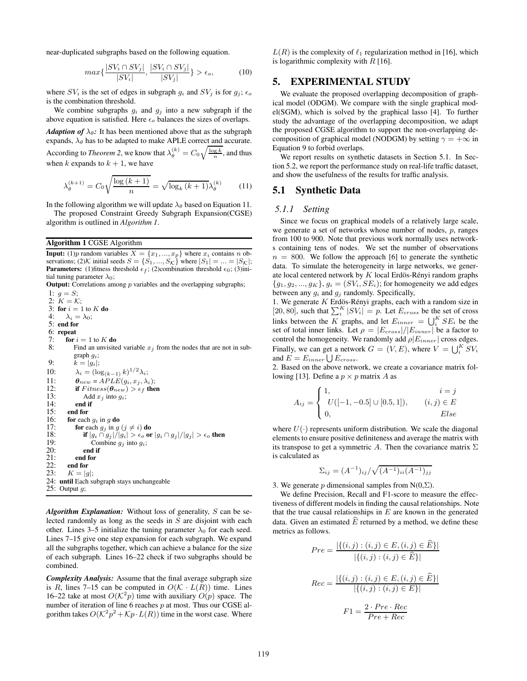near-duplicated subgraphs based on the following equation.

$$
\max\{\frac{|SV_i \cap SV_j|}{|SV_i|}, \frac{|SV_i \cap SV_j|}{|SV_j|}\} > \epsilon_o,
$$
 (10)

where  $SV_i$  is the set of edges in subgraph  $g_i$  and  $SV_j$  is for  $g_j$ ;  $\epsilon_o$ is the combination threshold.

We combine subgraphs  $g_i$  and  $g_j$  into a new subgraph if the above equation is satisfied. Here  $\epsilon_o$  balances the sizes of overlaps. *Adaption of*  $\lambda_{\theta}$ : It has been mentioned above that as the subgraph expands,  $\lambda_{\theta}$  has to be adapted to make APLE correct and accurate. According to *Theorem 2*, we know that  $\lambda_{\theta}^{(k)} = C_0 \sqrt{\frac{\log k}{n}}$ , and thus

when k expands to  $k + 1$ , we have

$$
\lambda_{\theta}^{(k+1)} = C_0 \sqrt{\frac{\log\left(k+1\right)}{n}} = \sqrt{\log_k\left(k+1\right)} \lambda_{\theta}^{(k)} \tag{11}
$$

In the following algorithm we will update  $\lambda_{\theta}$  based on Equation 11.

The proposed Constraint Greedy Subgraph Expansion(CGSE) algorithm is outlined in *Algorithm 1*.

#### Algorithm 1 CGSE Algorithm

**Input:** (1)p random variables  $X = \{x_1, ..., x_p\}$  where  $x_i$  contains n observations; (2) K initial seeds  $S = \{S_1, ..., S_{K}\}\$  where  $|S_1| = ... = |S_{K}|$ ; **Parameters:** (1)fitness threshold  $\epsilon_f$ ; (2)combination threshold  $\epsilon_0$ ; (3)initial tuning parameter  $\lambda_0$ ;

**Output:** Correlations among  $p$  variables and the overlapping subgraphs;

1:  $g = S$ ; 2:  $K = \mathcal{K}$ ; 3: for  $i = 1$  to  $K$  do 4:  $\lambda_i = \lambda_0;$ 5: end for 6: repeat<br>7: for  $\frac{1}{2}$ 7: **for**  $i = 1$  to K **do**<br>8: Find an unvisite Find an unvisited variable  $x_j$  from the nodes that are not in subgraph gi; 9:  $\tilde{k} = |\tilde{g}_i|;$ 10:  $\lambda_i = (\log_{(k-1)} k)^{1/2} \lambda_i;$ 11:  $\theta_{new} = APLE(g_i, x_j, \lambda_i);$ <br>12: **if** Fitness( $\theta_{new}$ ) >  $\epsilon_f$  the 12: **if**  $Fitness(\theta_{new}) > \epsilon_f$  then<br>13: Add  $x_i$  into  $a_i$ : 13: Add  $x_j$  into  $g_i$ ;<br>14: **end if** end if 15: end for 16: **for** each  $g_i$  in g **do**<br>17: **for** each  $g_j$  in g 17: **for** each  $g_j$  in  $g$   $(j \neq i)$  **do**<br>18: **if**  $|g_i \cap g_j|/|g_i| > \epsilon_o$  **or** 18: **if**  $|g_i \cap g_j|/|g_i| > \epsilon_o$  or  $|g_i \cap g_j|/|g_j| > \epsilon_o$  then 19: **Combine**  $g_i$  into  $g_i$ : 19: Combine  $g_j$  into  $g_i$ ;<br>20: **end if** 20: end if<br>21: end for  $21:$  end for  $22:$  end for 22: end for<br>23:  $K = |q|$  $K = |g|;$ 24: until Each subgraph stays unchangeable 25: Output  $g$ ;

*Algorithm Explanation:* Without loss of generality, S can be selected randomly as long as the seeds in S are disjoint with each other. Lines 3–5 initialize the tuning parameter  $\lambda_0$  for each seed. Lines 7–15 give one step expansion for each subgraph. We expand all the subgraphs together, which can achieve a balance for the size of each subgraph. Lines 16–22 check if two subgraphs should be combined.

*Complexity Analysis:* Assume that the final average subgraph size is R, lines 7–15 can be computed in  $O(\mathcal{K} \cdot L(R))$  time. Lines 16–22 take at most  $O(K^2p)$  time with auxiliary  $O(p)$  space. The number of iteration of line 6 reaches  $p$  at most. Thus our CGSE algorithm takes  $O(K^2p^2 + Kp \cdot L(R))$  time in the worst case. Where

 $L(R)$  is the complexity of  $\ell_1$  regularization method in [16], which is logarithmic complexity with  $R$  [16].

# 5. EXPERIMENTAL STUDY

We evaluate the proposed overlapping decomposition of graphical model (ODGM). We compare with the single graphical model(SGM), which is solved by the graphical lasso [4]. To further study the advantage of the overlapping decomposition, we adapt the proposed CGSE algorithm to support the non-overlapping decomposition of graphical model (NODGM) by setting  $\gamma = +\infty$  in Equation 9 to forbid overlaps.

We report results on synthetic datasets in Section 5.1. In Section 5.2, we report the performance study on real-life traffic dataset, and show the usefulness of the results for traffic analysis.

### 5.1 Synthetic Data

#### *5.1.1 Setting*

Since we focus on graphical models of a relatively large scale, we generate a set of networks whose number of nodes,  $p$ , ranges from 100 to 900. Note that previous work normally uses networks containing tens of nodes. We set the number of observations  $n = 800$ . We follow the approach [6] to generate the synthetic data. To simulate the heterogeneity in large networks, we generate local centered network by  $K$  local Erdös-Rényi random graphs  ${g_1, g_2, ..., g_K}$ ,  $g_i = (SV_i, SE_i)$ ; for homogeneity we add edges between any  $g_i$  and  $g_j$  randomly. Specifically,

1. We generate K Erdös-Rényi graphs, each with a random size in [20, 80], such that  $\sum_{i}^{K} |SV_i| = p$ . Let  $E_{cross}$  be the set of cross links between the K graphs, and let  $E_{inner} = \bigcup_{i=1}^{K} SE_i$  be the set of total inner links. Let  $\rho = |E_{cross}|/|E_{inner}|$  be a factor to control the homogeneity. We randomly add  $\rho|E_{inner}|$  cross edges. Finally, we can get a network  $G = (V, E)$ , where  $V = \bigcup_{i=1}^{K} SV_i$ and  $E = E_{inner} \bigcup E_{cross}$ .

2. Based on the above network, we create a covariance matrix following [13]. Define a  $p \times p$  matrix A as

$$
A_{ij} = \begin{cases} 1, & i = j \\ U([-1, -0.5] \cup [0.5, 1]), & (i, j) \in E \\ 0, & Else \end{cases}
$$

where  $U(\cdot)$  represents uniform distribution. We scale the diagonal elements to ensure positive definiteness and average the matrix with its transpose to get a symmetric A. Then the covariance matrix  $\Sigma$ is calculated as

$$
\Sigma_{ij} = (A^{-1})_{ij} / \sqrt{(A^{-1})_{ii}(A^{-1})_{jj}}
$$

3. We generate p dimensional samples from  $N(0,\Sigma)$ .

We define Precision, Recall and F1-score to measure the effectiveness of different models in finding the causal relationships. Note that the true causal relationships in  $E$  are known in the generated data. Given an estimated  $\widehat{E}$  returned by a method, we define these metrics as follows.

$$
Pre = \frac{|\{(i,j) : (i,j) \in E, (i,j) \in E\}|}{|\{(i,j) : (i,j) \in \widehat{E}\}|}
$$

$$
Rec = \frac{|\{(i,j) : (i,j) \in E, (i,j) \in \widehat{E}\}|}{|\{(i,j) : (i,j) \in E\}|}
$$

$$
F1 = \frac{2 \cdot Pre \cdot Rec}{Pre + Rec}
$$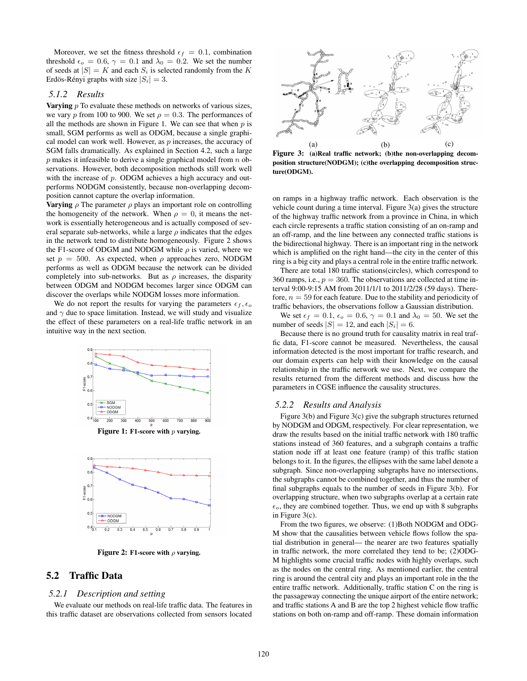Moreover, we set the fitness threshold  $\epsilon_f = 0.1$ , combination threshold  $\epsilon_o = 0.6$ ,  $\gamma = 0.1$  and  $\lambda_0 = 0.2$ . We set the number of seeds at  $|S| = K$  and each  $S_i$  is selected randomly from the K Erdös-Rényi graphs with size  $|S_i| = 3$ .

#### *5.1.2 Results*

Varying *p* To evaluate these methods on networks of various sizes, we vary p from 100 to 900. We set  $\rho = 0.3$ . The performances of all the methods are shown in Figure 1. We can see that when  $p$  is small, SGM performs as well as ODGM, because a single graphical model can work well. However, as  $p$  increases, the accuracy of SGM falls dramatically. As explained in Section 4.2, such a large  $p$  makes it infeasible to derive a single graphical model from  $n$  observations. However, both decomposition methods still work well with the increase of  $p$ . ODGM achieves a high accuracy and outperforms NODGM consistently, because non-overlapping decomposition cannot capture the overlap information.

**Varying**  $\rho$  The parameter  $\rho$  plays an important role on controlling the homogeneity of the network. When  $\rho = 0$ , it means the network is essentially heterogeneous and is actually composed of several separate sub-networks, while a large  $\rho$  indicates that the edges in the network tend to distribute homogeneously. Figure 2 shows the F1-score of ODGM and NODGM while  $\rho$  is varied, where we set  $p = 500$ . As expected, when  $\rho$  approaches zero, NODGM performs as well as ODGM because the network can be divided completely into sub-networks. But as  $\rho$  increases, the disparity between ODGM and NODGM becomes larger since ODGM can discover the overlaps while NODGM losses more information.

We do not report the results for varying the parameters  $\epsilon_f, \epsilon_o$ and  $\gamma$  due to space limitation. Instead, we will study and visualize the effect of these parameters on a real-life traffic network in an intuitive way in the next section.



Figure 1: F1-score with  $p$  varying.



Figure 2: F1-score with  $\rho$  varying.

# 5.2 Traffic Data

#### *5.2.1 Description and setting*

We evaluate our methods on real-life traffic data. The features in this traffic dataset are observations collected from sensors located



Figure 3: (a)Real traffic network; (b)the non-overlapping decomposition structure(NODGM); (c)the overlapping decomposition structure(ODGM).

on ramps in a highway traffic network. Each observation is the vehicle count during a time interval. Figure 3(a) gives the structure of the highway traffic network from a province in China, in which each circle represents a traffic station consisting of an on-ramp and an off-ramp, and the line between any connected traffic stations is the bidirectional highway. There is an important ring in the network which is amplified on the right hand—the city in the center of this ring is a big city and plays a central role in the entire traffic network.

There are total 180 traffic stations(circles), which correspond to 360 ramps, i.e.,  $p = 360$ . The observations are collected at time interval 9:00-9:15 AM from 2011/1/1 to 2011/2/28 (59 days). Therefore,  $n = 59$  for each feature. Due to the stability and periodicity of traffic behaviors, the observations follow a Gaussian distribution.

We set  $\epsilon_f = 0.1$ ,  $\epsilon_o = 0.6$ ,  $\gamma = 0.1$  and  $\lambda_0 = 50$ . We set the number of seeds  $|S| = 12$ , and each  $|S_i| = 6$ .

Because there is no ground truth for causality matrix in real traffic data, F1-score cannot be measured. Nevertheless, the causal information detected is the most important for traffic research, and our domain experts can help with their knowledge on the causal relationship in the traffic network we use. Next, we compare the results returned from the different methods and discuss how the parameters in CGSE influence the causality structures.

#### *5.2.2 Results and Analysis*

Figure 3(b) and Figure 3(c) give the subgraph structures returned by NODGM and ODGM, respectively. For clear representation, we draw the results based on the initial traffic network with 180 traffic stations instead of 360 features, and a subgraph contains a traffic station node iff at least one feature (ramp) of this traffic station belongs to it. In the figures, the ellipses with the same label denote a subgraph. Since non-overlapping subgraphs have no intersections, the subgraphs cannot be combined together, and thus the number of final subgraphs equals to the number of seeds in Figure 3(b). For overlapping structure, when two subgraphs overlap at a certain rate  $\epsilon_o$ , they are combined together. Thus, we end up with 8 subgraphs in Figure 3(c).

From the two figures, we observe: (1)Both NODGM and ODG-M show that the causalities between vehicle flows follow the spatial distribution in general— the nearer are two features spatially in traffic network, the more correlated they tend to be; (2)ODG-M highlights some crucial traffic nodes with highly overlaps, such as the nodes on the central ring. As mentioned earlier, the central ring is around the central city and plays an important role in the the entire traffic network. Additionally, traffic station C on the ring is the passageway connecting the unique airport of the entire network; and traffic stations A and B are the top 2 highest vehicle flow traffic stations on both on-ramp and off-ramp. These domain information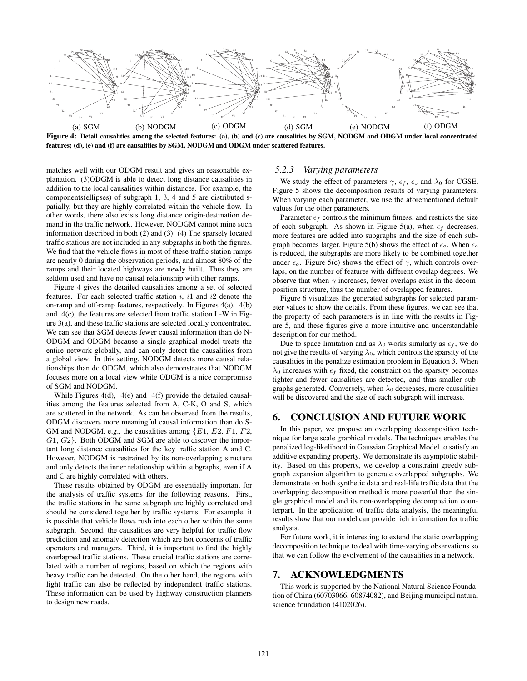

Figure 4: Detail causalities among the selected features: (a), (b) and (c) are causalities by SGM, NODGM and ODGM under local concentrated features; (d), (e) and (f) are causalities by SGM, NODGM and ODGM under scattered features.

matches well with our ODGM result and gives an reasonable explanation. (3)ODGM is able to detect long distance causalities in addition to the local causalities within distances. For example, the components(ellipses) of subgraph 1, 3, 4 and 5 are distributed spatially, but they are highly correlated within the vehicle flow. In other words, there also exists long distance origin-destination demand in the traffic network. However, NODGM cannot mine such information described in both (2) and (3). (4) The sparsely located traffic stations are not included in any subgraphs in both the figures. We find that the vehicle flows in most of these traffic station ramps are nearly 0 during the observation periods, and almost 80% of the ramps and their located highways are newly built. Thus they are seldom used and have no causal relationship with other ramps.

Figure 4 gives the detailed causalities among a set of selected features. For each selected traffic station  $i$ ,  $i1$  and  $i2$  denote the on-ramp and off-ramp features, respectively. In Figures 4(a), 4(b) and 4(c), the features are selected from traffic station L-W in Figure 3(a), and these traffic stations are selected locally concentrated. We can see that SGM detects fewer causal information than do N-ODGM and ODGM because a single graphical model treats the entire network globally, and can only detect the causalities from a global view. In this setting, NODGM detects more causal relationships than do ODGM, which also demonstrates that NODGM focuses more on a local view while ODGM is a nice compromise of SGM and NODGM.

While Figures 4(d), 4(e) and 4(f) provide the detailed causalities among the features selected from A, C-K, O and S, which are scattered in the network. As can be observed from the results, ODGM discovers more meaningful causal information than do S-GM and NODGM, e.g., the causalities among  $\{E1, E2, F1, F2,$ G1, G2}. Both ODGM and SGM are able to discover the important long distance causalities for the key traffic station A and C. However, NODGM is restrained by its non-overlapping structure and only detects the inner relationship within subgraphs, even if A and C are highly correlated with others.

These results obtained by ODGM are essentially important for the analysis of traffic systems for the following reasons. First, the traffic stations in the same subgraph are highly correlated and should be considered together by traffic systems. For example, it is possible that vehicle flows rush into each other within the same subgraph. Second, the causalities are very helpful for traffic flow prediction and anomaly detection which are hot concerns of traffic operators and managers. Third, it is important to find the highly overlapped traffic stations. These crucial traffic stations are correlated with a number of regions, based on which the regions with heavy traffic can be detected. On the other hand, the regions with light traffic can also be reflected by independent traffic stations. These information can be used by highway construction planners to design new roads.

# *5.2.3 Varying parameters*

We study the effect of parameters  $\gamma$ ,  $\epsilon_f$ ,  $\epsilon_o$  and  $\lambda_0$  for CGSE. Figure 5 shows the decomposition results of varying parameters. When varying each parameter, we use the aforementioned default values for the other parameters.

Parameter  $\epsilon_f$  controls the minimum fitness, and restricts the size of each subgraph. As shown in Figure 5(a), when  $\epsilon_f$  decreases, more features are added into subgraphs and the size of each subgraph becomes larger. Figure 5(b) shows the effect of  $\epsilon_o$ . When  $\epsilon_o$ is reduced, the subgraphs are more likely to be combined together under  $\epsilon_o$ . Figure 5(c) shows the effect of  $\gamma$ , which controls overlaps, on the number of features with different overlap degrees. We observe that when  $\gamma$  increases, fewer overlaps exist in the decomposition structure, thus the number of overlapped features.

Figure 6 visualizes the generated subgraphs for selected parameter values to show the details. From these figures, we can see that the property of each parameters is in line with the results in Figure 5, and these figures give a more intuitive and understandable description for our method.

Due to space limitation and as  $\lambda_0$  works similarly as  $\epsilon_f$ , we do not give the results of varying  $\lambda_0$ , which controls the sparsity of the causalities in the penalize estimation problem in Equation 3. When  $\lambda_0$  increases with  $\epsilon_f$  fixed, the constraint on the sparsity becomes tighter and fewer causalities are detected, and thus smaller subgraphs generated. Conversely, when  $\lambda_0$  decreases, more causalities will be discovered and the size of each subgraph will increase.

# 6. CONCLUSION AND FUTURE WORK

In this paper, we propose an overlapping decomposition technique for large scale graphical models. The techniques enables the penalized log-likelihood in Gaussian Graphical Model to satisfy an additive expanding property. We demonstrate its asymptotic stability. Based on this property, we develop a constraint greedy subgraph expansion algorithm to generate overlapped subgraphs. We demonstrate on both synthetic data and real-life traffic data that the overlapping decomposition method is more powerful than the single graphical model and its non-overlapping decomposition counterpart. In the application of traffic data analysis, the meaningful results show that our model can provide rich information for traffic analysis.

For future work, it is interesting to extend the static overlapping decomposition technique to deal with time-varying observations so that we can follow the evolvement of the causalities in a network.

# 7. ACKNOWLEDGMENTS

This work is supported by the National Natural Science Foundation of China (60703066, 60874082), and Beijing municipal natural science foundation (4102026).